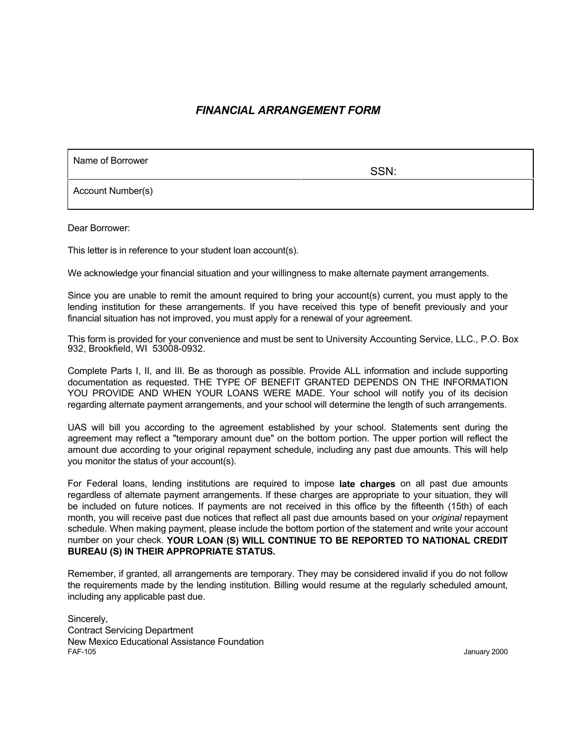#### *FINANCIAL ARRANGEMENT FORM*

Name of Borrower

SSN:

Account Number(s)

Dear Borrower:

This letter is in reference to your student loan account(s).

We acknowledge your financial situation and your willingness to make alternate payment arrangements.

Since you are unable to remit the amount required to bring your account(s) current, you must apply to the lending institution for these arrangements. If you have received this type of benefit previously and your financial situation has not improved, you must apply for a renewal of your agreement.

This form is provided for your convenience and must be sent to University Accounting Service, LLC., P.O. Box 932, Brookfield, WI 53008-0932.

Complete Parts I, II, and III. Be as thorough as possible. Provide ALL information and include supporting documentation as requested. THE TYPE OF BENEFIT GRANTED DEPENDS ON THE INFORMATION YOU PROVIDE AND WHEN YOUR LOANS WERE MADE. Your school will notify you of its decision regarding alternate payment arrangements, and your school will determine the length of such arrangements.

UAS will bill you according to the agreement established by your school. Statements sent during the agreement may reflect a "temporary amount due" on the bottom portion. The upper portion will reflect the amount due according to your original repayment schedule, including any past due amounts. This will help you monitor the status of your account(s).

For Federal loans, lending institutions are required to impose **late charges** on all past due amounts regardless of alternate payment arrangements. If these charges are appropriate to your situation, they will be included on future notices. If payments are not received in this office by the fifteenth (15th) of each month, you will receive past due notices that reflect all past due amounts based on your *original* repayment schedule. When making payment, please include the bottom portion of the statement and write your account number on your check. **YOUR LOAN (S) WILL CONTINUE TO BE REPORTED TO NATIONAL CREDIT BUREAU (S) IN THEIR APPROPRIATE STATUS.**

Remember, if granted, all arrangements are temporary. They may be considered invalid if you do not follow the requirements made by the lending institution. Billing would resume at the regularly scheduled amount, including any applicable past due.

Sincerely, Contract Servicing Department New Mexico Educational Assistance Foundation<br>FAF-105 FAF-105 January 2000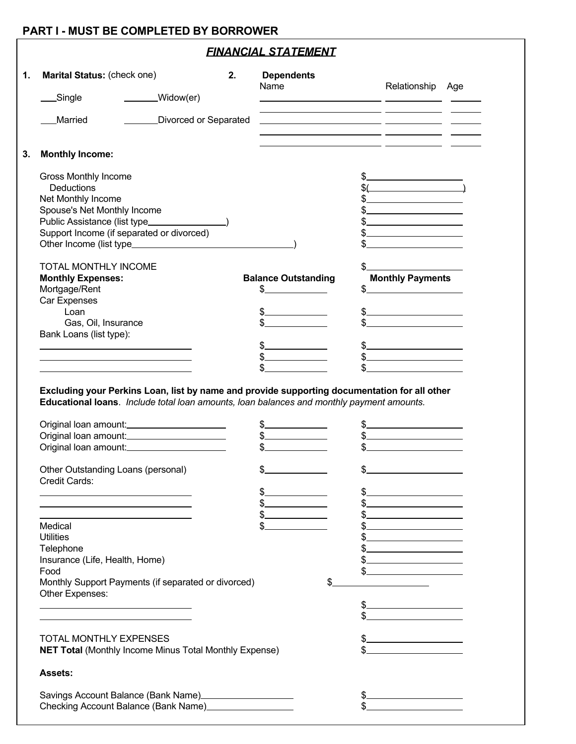#### **PART I - MUST BE COMPLETED BY BORROWER**

### *FINANCIAL STATEMENT*

| Marital Status: (check one)                                                                                                                                                               |                       | 2. | <b>Dependents</b><br>Name                                   |                                                     | Relationship Age                          |  |
|-------------------------------------------------------------------------------------------------------------------------------------------------------------------------------------------|-----------------------|----|-------------------------------------------------------------|-----------------------------------------------------|-------------------------------------------|--|
| Single                                                                                                                                                                                    | _______Widow(er)      |    |                                                             |                                                     |                                           |  |
| Married                                                                                                                                                                                   | Divorced or Separated |    | <u> 1989 - Johann Stein, Amerikaansk politiker († 1908)</u> |                                                     |                                           |  |
|                                                                                                                                                                                           |                       |    |                                                             |                                                     |                                           |  |
| <b>Monthly Income:</b>                                                                                                                                                                    |                       |    |                                                             | <u> 1989 - Johann Stone, amerikansk politiker (</u> |                                           |  |
| Gross Monthly Income                                                                                                                                                                      |                       |    |                                                             |                                                     |                                           |  |
| <b>Deductions</b>                                                                                                                                                                         |                       |    |                                                             |                                                     | $\frac{1}{2}$                             |  |
| Net Monthly Income                                                                                                                                                                        |                       |    |                                                             |                                                     | $\frac{1}{2}$                             |  |
| Spouse's Net Monthly Income                                                                                                                                                               |                       |    |                                                             |                                                     | $\frac{1}{2}$                             |  |
| Public Assistance (list type________________)                                                                                                                                             |                       |    |                                                             |                                                     | $\frac{1}{2}$                             |  |
| Support Income (if separated or divorced)                                                                                                                                                 |                       |    |                                                             |                                                     | <u> 1989 - Johann Barbara, martxa al-</u> |  |
|                                                                                                                                                                                           |                       |    |                                                             |                                                     |                                           |  |
| TOTAL MONTHLY INCOME                                                                                                                                                                      |                       |    |                                                             |                                                     |                                           |  |
| <b>Monthly Expenses:</b>                                                                                                                                                                  |                       |    | <b>Balance Outstanding</b><br>\$_                           |                                                     | <b>Monthly Payments</b><br>$\frac{1}{2}$  |  |
| Mortgage/Rent<br>Car Expenses                                                                                                                                                             |                       |    |                                                             |                                                     |                                           |  |
| Loan                                                                                                                                                                                      |                       |    | $\frac{1}{2}$                                               |                                                     |                                           |  |
| Gas, Oil, Insurance                                                                                                                                                                       |                       |    |                                                             |                                                     | $\frac{1}{2}$                             |  |
| Bank Loans (list type):                                                                                                                                                                   |                       |    |                                                             |                                                     |                                           |  |
|                                                                                                                                                                                           |                       |    | \$                                                          |                                                     | $\frac{1}{2}$                             |  |
|                                                                                                                                                                                           |                       |    | \$                                                          |                                                     | $\frac{1}{2}$                             |  |
|                                                                                                                                                                                           |                       |    | \$                                                          |                                                     |                                           |  |
| Excluding your Perkins Loan, list by name and provide supporting documentation for all other<br>Educational loans. Include total loan amounts, loan balances and monthly payment amounts. |                       |    |                                                             |                                                     |                                           |  |
| Original loan amount:<br><u> Criginal</u><br>Original loan amount:_______________________<br>Original loan amount:________________________                                                |                       |    | $\frac{1}{2}$                                               |                                                     | $\frac{1}{2}$                             |  |
| Other Outstanding Loans (personal)                                                                                                                                                        |                       |    |                                                             |                                                     |                                           |  |
| Credit Cards:                                                                                                                                                                             |                       |    |                                                             |                                                     |                                           |  |
|                                                                                                                                                                                           |                       |    | \$                                                          |                                                     |                                           |  |
|                                                                                                                                                                                           |                       |    |                                                             |                                                     |                                           |  |
| Medical                                                                                                                                                                                   |                       |    | \$                                                          |                                                     |                                           |  |
| <b>Utilities</b>                                                                                                                                                                          |                       |    |                                                             |                                                     |                                           |  |
| Telephone                                                                                                                                                                                 |                       |    |                                                             |                                                     |                                           |  |
| Insurance (Life, Health, Home)                                                                                                                                                            |                       |    |                                                             |                                                     |                                           |  |
| Food<br>Monthly Support Payments (if separated or divorced)                                                                                                                               |                       |    |                                                             |                                                     |                                           |  |
| Other Expenses:                                                                                                                                                                           |                       |    |                                                             |                                                     |                                           |  |
|                                                                                                                                                                                           |                       |    |                                                             |                                                     |                                           |  |
| TOTAL MONTHLY EXPENSES<br><b>NET Total (Monthly Income Minus Total Monthly Expense)</b>                                                                                                   |                       |    |                                                             |                                                     |                                           |  |
| <b>Assets:</b>                                                                                                                                                                            |                       |    |                                                             |                                                     |                                           |  |
| Savings Account Balance (Bank Name)                                                                                                                                                       |                       |    |                                                             |                                                     |                                           |  |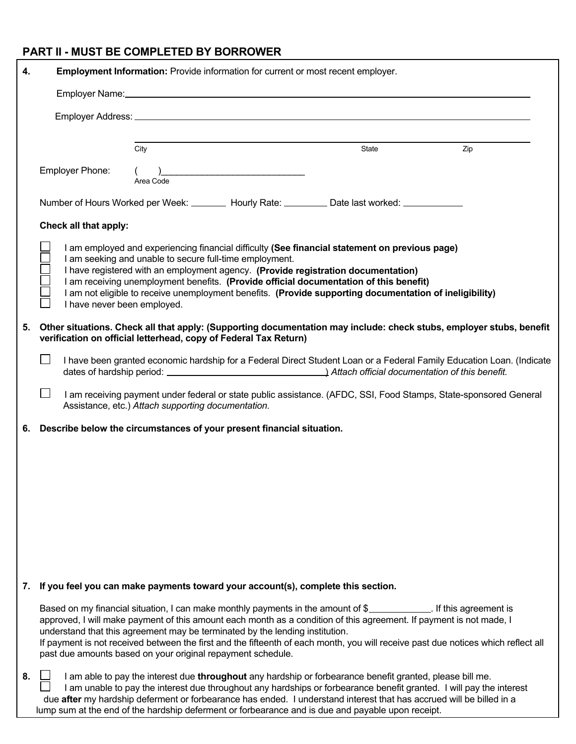# **PART II - MUST BE COMPLETED BY BORROWER**

| 4. | Employment Information: Provide information for current or most recent employer.                                                                                                        |                                                                                                                                                                                                                                                                                                                                                                                                                                                                                             |       |     |  |  |  |  |
|----|-----------------------------------------------------------------------------------------------------------------------------------------------------------------------------------------|---------------------------------------------------------------------------------------------------------------------------------------------------------------------------------------------------------------------------------------------------------------------------------------------------------------------------------------------------------------------------------------------------------------------------------------------------------------------------------------------|-------|-----|--|--|--|--|
|    |                                                                                                                                                                                         |                                                                                                                                                                                                                                                                                                                                                                                                                                                                                             |       |     |  |  |  |  |
|    |                                                                                                                                                                                         |                                                                                                                                                                                                                                                                                                                                                                                                                                                                                             |       |     |  |  |  |  |
|    |                                                                                                                                                                                         |                                                                                                                                                                                                                                                                                                                                                                                                                                                                                             |       |     |  |  |  |  |
|    |                                                                                                                                                                                         | City                                                                                                                                                                                                                                                                                                                                                                                                                                                                                        | State | Zip |  |  |  |  |
|    | Employer Phone:                                                                                                                                                                         | $($ )<br>Area Code                                                                                                                                                                                                                                                                                                                                                                                                                                                                          |       |     |  |  |  |  |
|    |                                                                                                                                                                                         | Number of Hours Worked per Week: ________ Hourly Rate: _________ Date last worked: ____________                                                                                                                                                                                                                                                                                                                                                                                             |       |     |  |  |  |  |
|    | Check all that apply:                                                                                                                                                                   |                                                                                                                                                                                                                                                                                                                                                                                                                                                                                             |       |     |  |  |  |  |
|    | I have never been employed.                                                                                                                                                             | I am employed and experiencing financial difficulty (See financial statement on previous page)<br>I am seeking and unable to secure full-time employment.<br>I have registered with an employment agency. (Provide registration documentation)<br>I am receiving unemployment benefits. (Provide official documentation of this benefit)<br>I am not eligible to receive unemployment benefits. (Provide supporting documentation of ineligibility)                                         |       |     |  |  |  |  |
| 5. | Other situations. Check all that apply: (Supporting documentation may include: check stubs, employer stubs, benefit<br>verification on official letterhead, copy of Federal Tax Return) |                                                                                                                                                                                                                                                                                                                                                                                                                                                                                             |       |     |  |  |  |  |
|    |                                                                                                                                                                                         | I have been granted economic hardship for a Federal Direct Student Loan or a Federal Family Education Loan. (Indicate                                                                                                                                                                                                                                                                                                                                                                       |       |     |  |  |  |  |
|    |                                                                                                                                                                                         | I am receiving payment under federal or state public assistance. (AFDC, SSI, Food Stamps, State-sponsored General<br>Assistance, etc.) Attach supporting documentation.                                                                                                                                                                                                                                                                                                                     |       |     |  |  |  |  |
| 6. |                                                                                                                                                                                         | Describe below the circumstances of your present financial situation.                                                                                                                                                                                                                                                                                                                                                                                                                       |       |     |  |  |  |  |
|    |                                                                                                                                                                                         |                                                                                                                                                                                                                                                                                                                                                                                                                                                                                             |       |     |  |  |  |  |
|    |                                                                                                                                                                                         |                                                                                                                                                                                                                                                                                                                                                                                                                                                                                             |       |     |  |  |  |  |
|    |                                                                                                                                                                                         |                                                                                                                                                                                                                                                                                                                                                                                                                                                                                             |       |     |  |  |  |  |
|    |                                                                                                                                                                                         |                                                                                                                                                                                                                                                                                                                                                                                                                                                                                             |       |     |  |  |  |  |
|    |                                                                                                                                                                                         |                                                                                                                                                                                                                                                                                                                                                                                                                                                                                             |       |     |  |  |  |  |
|    |                                                                                                                                                                                         |                                                                                                                                                                                                                                                                                                                                                                                                                                                                                             |       |     |  |  |  |  |
|    |                                                                                                                                                                                         |                                                                                                                                                                                                                                                                                                                                                                                                                                                                                             |       |     |  |  |  |  |
| 7. |                                                                                                                                                                                         | If you feel you can make payments toward your account(s), complete this section.                                                                                                                                                                                                                                                                                                                                                                                                            |       |     |  |  |  |  |
|    |                                                                                                                                                                                         | Based on my financial situation, I can make monthly payments in the amount of \$<br>approved, I will make payment of this amount each month as a condition of this agreement. If payment is not made, I<br>understand that this agreement may be terminated by the lending institution.<br>If payment is not received between the first and the fifteenth of each month, you will receive past due notices which reflect all<br>past due amounts based on your original repayment schedule. |       |     |  |  |  |  |
| 8. |                                                                                                                                                                                         | I am able to pay the interest due throughout any hardship or forbearance benefit granted, please bill me.<br>I am unable to pay the interest due throughout any hardships or forbearance benefit granted. I will pay the interest<br>due after my hardship deferment or forbearance has ended. I understand interest that has accrued will be billed in a<br>lump sum at the end of the hardship deferment or forbearance and is due and payable upon receipt.                              |       |     |  |  |  |  |